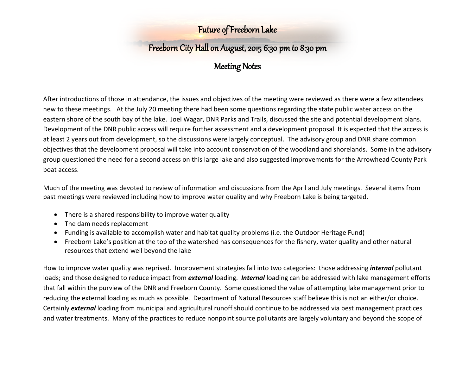## Freeborn City Hall on August, 2015 6:30 pm to 8:30 pm

## Meeting Notes

After introductions of those in attendance, the issues and objectives of the meeting were reviewed as there were a few attendees new to these meetings. At the July 20 meeting there had been some questions regarding the state public water access on the eastern shore of the south bay of the lake. Joel Wagar, DNR Parks and Trails, discussed the site and potential development plans. Development of the DNR public access will require further assessment and a development proposal. It is expected that the access is at least 2 years out from development, so the discussions were largely conceptual. The advisory group and DNR share common objectives that the development proposal will take into account conservation of the woodland and shorelands. Some in the advisory group questioned the need for a second access on this large lake and also suggested improvements for the Arrowhead County Park boat access.

Much of the meeting was devoted to review of information and discussions from the April and July meetings. Several items from past meetings were reviewed including how to improve water quality and why Freeborn Lake is being targeted.

- There is a shared responsibility to improve water quality
- The dam needs replacement
- Funding is available to accomplish water and habitat quality problems (i.e. the Outdoor Heritage Fund)
- Freeborn Lake's position at the top of the watershed has consequences for the fishery, water quality and other natural resources that extend well beyond the lake

How to improve water quality was reprised. Improvement strategies fall into two categories: those addressing *internal* pollutant loads; and those designed to reduce impact from *external* loading. *Internal* loading can be addressed with lake management efforts that fall within the purview of the DNR and Freeborn County. Some questioned the value of attempting lake management prior to reducing the external loading as much as possible. Department of Natural Resources staff believe this is not an either/or choice. Certainly *external* loading from municipal and agricultural runoff should continue to be addressed via best management practices and water treatments. Many of the practices to reduce nonpoint source pollutants are largely voluntary and beyond the scope of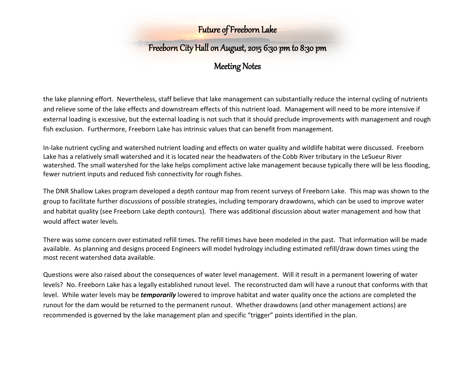# Freeborn City Hall on August, 2015 6:30 pm to 8:30 pm

### Meeting Notes

the lake planning effort. Nevertheless, staff believe that lake management can substantially reduce the internal cycling of nutrients and relieve some of the lake effects and downstream effects of this nutrient load. Management will need to be more intensive if external loading is excessive, but the external loading is not such that it should preclude improvements with management and rough fish exclusion. Furthermore, Freeborn Lake has intrinsic values that can benefit from management.

In-lake nutrient cycling and watershed nutrient loading and effects on water quality and wildlife habitat were discussed. Freeborn Lake has a relatively small watershed and it is located near the headwaters of the Cobb River tributary in the LeSueur River watershed. The small watershed for the lake helps compliment active lake management because typically there will be less flooding, fewer nutrient inputs and reduced fish connectivity for rough fishes.

The DNR Shallow Lakes program developed a depth contour map from recent surveys of Freeborn Lake. This map was shown to the group to facilitate further discussions of possible strategies, including temporary drawdowns, which can be used to improve water and habitat quality (see Freeborn Lake depth contours). There was additional discussion about water management and how that would affect water levels.

There was some concern over estimated refill times. The refill times have been modeled in the past. That information will be made available. As planning and designs proceed Engineers will model hydrology including estimated refill/draw down times using the most recent watershed data available.

Questions were also raised about the consequences of water level management. Will it result in a permanent lowering of water levels? No. Freeborn Lake has a legally established runout level. The reconstructed dam will have a runout that conforms with that level. While water levels may be *temporarily* lowered to improve habitat and water quality once the actions are completed the runout for the dam would be returned to the permanent runout. Whether drawdowns (and other management actions) are recommended is governed by the lake management plan and specific "trigger" points identified in the plan.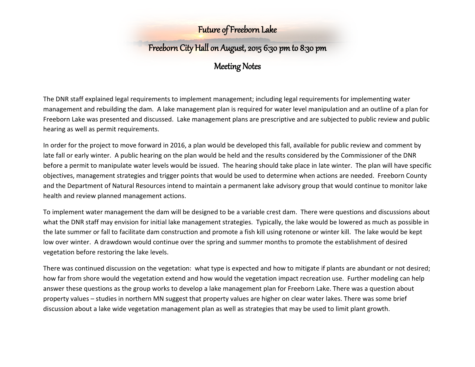# Freeborn City Hall on August, 2015 6:30 pm to 8:30 pm

## Meeting Notes

The DNR staff explained legal requirements to implement management; including legal requirements for implementing water management and rebuilding the dam. A lake management plan is required for water level manipulation and an outline of a plan for Freeborn Lake was presented and discussed. Lake management plans are prescriptive and are subjected to public review and public hearing as well as permit requirements.

In order for the project to move forward in 2016, a plan would be developed this fall, available for public review and comment by late fall or early winter. A public hearing on the plan would be held and the results considered by the Commissioner of the DNR before a permit to manipulate water levels would be issued. The hearing should take place in late winter. The plan will have specific objectives, management strategies and trigger points that would be used to determine when actions are needed. Freeborn County and the Department of Natural Resources intend to maintain a permanent lake advisory group that would continue to monitor lake health and review planned management actions.

To implement water management the dam will be designed to be a variable crest dam. There were questions and discussions about what the DNR staff may envision for initial lake management strategies. Typically, the lake would be lowered as much as possible in the late summer or fall to facilitate dam construction and promote a fish kill using rotenone or winter kill. The lake would be kept low over winter. A drawdown would continue over the spring and summer months to promote the establishment of desired vegetation before restoring the lake levels.

There was continued discussion on the vegetation: what type is expected and how to mitigate if plants are abundant or not desired; how far from shore would the vegetation extend and how would the vegetation impact recreation use. Further modeling can help answer these questions as the group works to develop a lake management plan for Freeborn Lake. There was a question about property values – studies in northern MN suggest that property values are higher on clear water lakes. There was some brief discussion about a lake wide vegetation management plan as well as strategies that may be used to limit plant growth.